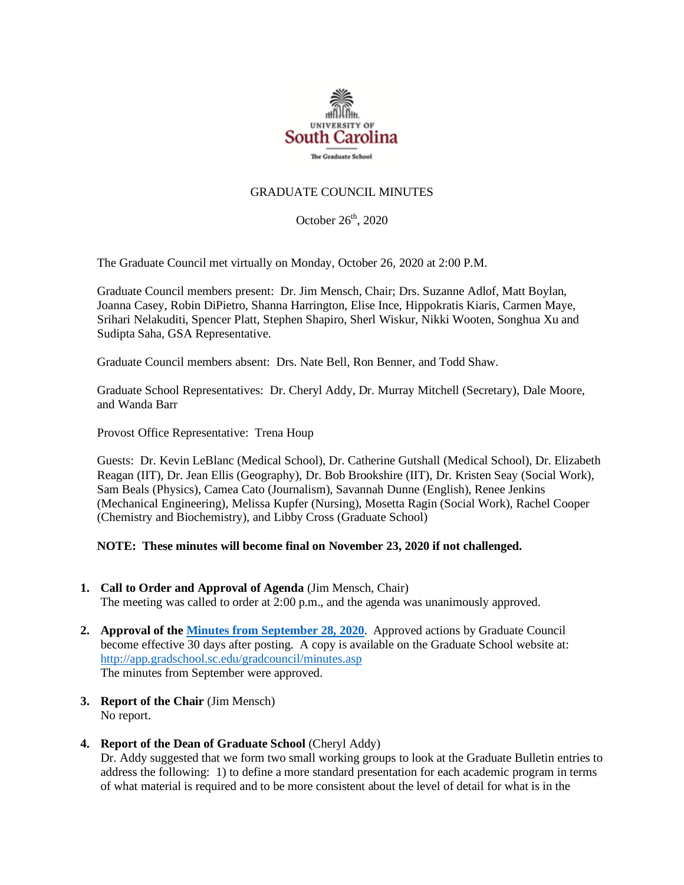

#### GRADUATE COUNCIL MINUTES

October 26<sup>th</sup>, 2020

The Graduate Council met virtually on Monday, October 26, 2020 at 2:00 P.M.

Graduate Council members present: Dr. Jim Mensch, Chair; Drs. Suzanne Adlof, Matt Boylan, Joanna Casey, Robin DiPietro, Shanna Harrington, Elise Ince, Hippokratis Kiaris, Carmen Maye, Srihari Nelakuditi, Spencer Platt, Stephen Shapiro, Sherl Wiskur, Nikki Wooten, Songhua Xu and Sudipta Saha, GSA Representative.

Graduate Council members absent: Drs. Nate Bell, Ron Benner, and Todd Shaw.

Graduate School Representatives: Dr. Cheryl Addy, Dr. Murray Mitchell (Secretary), Dale Moore, and Wanda Barr

Provost Office Representative: Trena Houp

Guests: Dr. Kevin LeBlanc (Medical School), Dr. Catherine Gutshall (Medical School), Dr. Elizabeth Reagan (IIT), Dr. Jean Ellis (Geography), Dr. Bob Brookshire (IIT), Dr. Kristen Seay (Social Work), Sam Beals (Physics), Camea Cato (Journalism), Savannah Dunne (English), Renee Jenkins (Mechanical Engineering), Melissa Kupfer (Nursing), Mosetta Ragin (Social Work), Rachel Cooper (Chemistry and Biochemistry), and Libby Cross (Graduate School)

#### **NOTE: These minutes will become final on November 23, 2020 if not challenged.**

- **1. Call to Order and Approval of Agenda** (Jim Mensch, Chair) The meeting was called to order at 2:00 p.m., and the agenda was unanimously approved.
- **2. Approval of th[e Minutes from September 28, 2020](file:///C:/Users/wandab/Local%20Documents/Graduate%20Council/GCMINUTES9.28.20.%20mm.pdf)**. Approved actions by Graduate Council become effective 30 days after posting. A copy is available on the Graduate School website at: <http://app.gradschool.sc.edu/gradcouncil/minutes.asp> The minutes from September were approved.
- **3. Report of the Chair** (Jim Mensch) No report.
- **4. Report of the Dean of Graduate School** (Cheryl Addy)

Dr. Addy suggested that we form two small working groups to look at the Graduate Bulletin entries to address the following: 1) to define a more standard presentation for each academic program in terms of what material is required and to be more consistent about the level of detail for what is in the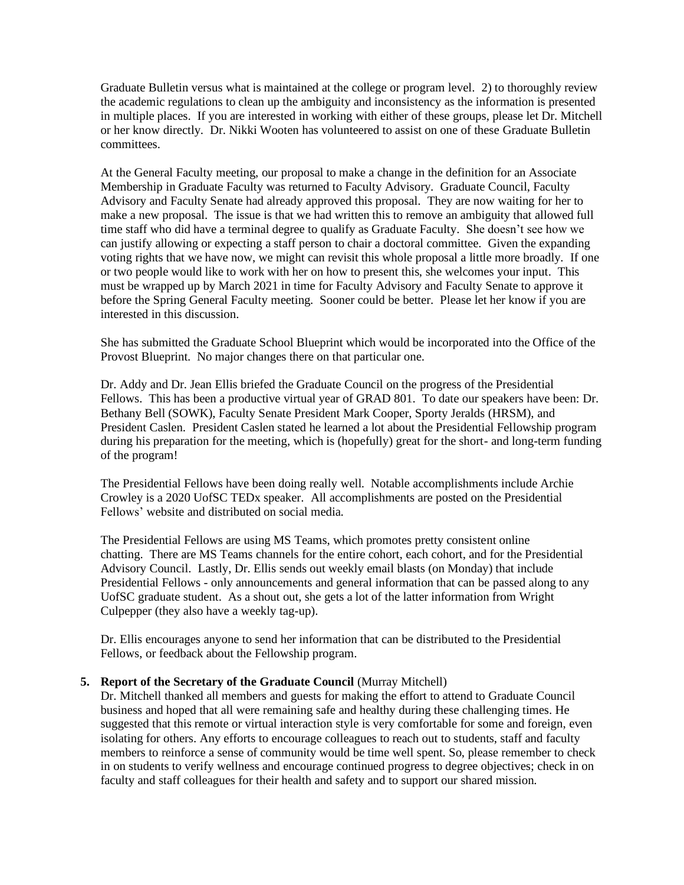Graduate Bulletin versus what is maintained at the college or program level. 2) to thoroughly review the academic regulations to clean up the ambiguity and inconsistency as the information is presented in multiple places. If you are interested in working with either of these groups, please let Dr. Mitchell or her know directly. Dr. Nikki Wooten has volunteered to assist on one of these Graduate Bulletin committees.

At the General Faculty meeting, our proposal to make a change in the definition for an Associate Membership in Graduate Faculty was returned to Faculty Advisory. Graduate Council, Faculty Advisory and Faculty Senate had already approved this proposal. They are now waiting for her to make a new proposal. The issue is that we had written this to remove an ambiguity that allowed full time staff who did have a terminal degree to qualify as Graduate Faculty. She doesn't see how we can justify allowing or expecting a staff person to chair a doctoral committee. Given the expanding voting rights that we have now, we might can revisit this whole proposal a little more broadly. If one or two people would like to work with her on how to present this, she welcomes your input. This must be wrapped up by March 2021 in time for Faculty Advisory and Faculty Senate to approve it before the Spring General Faculty meeting. Sooner could be better. Please let her know if you are interested in this discussion.

She has submitted the Graduate School Blueprint which would be incorporated into the Office of the Provost Blueprint. No major changes there on that particular one.

Dr. Addy and Dr. Jean Ellis briefed the Graduate Council on the progress of the Presidential Fellows. This has been a productive virtual year of GRAD 801. To date our speakers have been: Dr. Bethany Bell (SOWK), Faculty Senate President Mark Cooper, Sporty Jeralds (HRSM), and President Caslen. President Caslen stated he learned a lot about the Presidential Fellowship program during his preparation for the meeting, which is (hopefully) great for the short- and long-term funding of the program!

The Presidential Fellows have been doing really well. Notable accomplishments include Archie Crowley is a 2020 UofSC TEDx speaker. All accomplishments are posted on the Presidential Fellows' website and distributed on social media.

The Presidential Fellows are using MS Teams, which promotes pretty consistent online chatting. There are MS Teams channels for the entire cohort, each cohort, and for the Presidential Advisory Council. Lastly, Dr. Ellis sends out weekly email blasts (on Monday) that include Presidential Fellows - only announcements and general information that can be passed along to any UofSC graduate student. As a shout out, she gets a lot of the latter information from Wright Culpepper (they also have a weekly tag-up).

Dr. Ellis encourages anyone to send her information that can be distributed to the Presidential Fellows, or feedback about the Fellowship program.

#### **5. Report of the Secretary of the Graduate Council** (Murray Mitchell)

Dr. Mitchell thanked all members and guests for making the effort to attend to Graduate Council business and hoped that all were remaining safe and healthy during these challenging times. He suggested that this remote or virtual interaction style is very comfortable for some and foreign, even isolating for others. Any efforts to encourage colleagues to reach out to students, staff and faculty members to reinforce a sense of community would be time well spent. So, please remember to check in on students to verify wellness and encourage continued progress to degree objectives; check in on faculty and staff colleagues for their health and safety and to support our shared mission.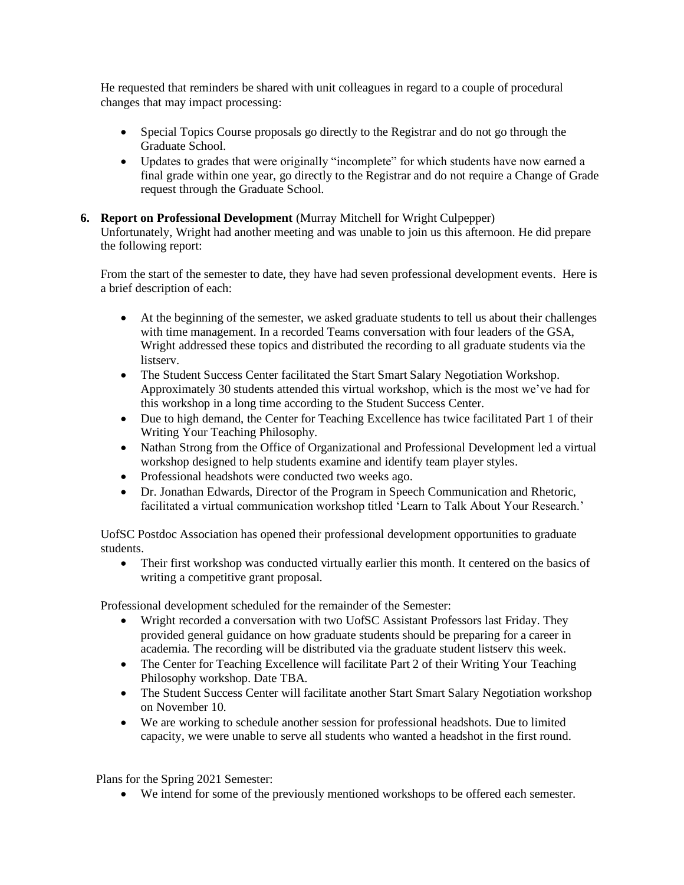He requested that reminders be shared with unit colleagues in regard to a couple of procedural changes that may impact processing:

- Special Topics Course proposals go directly to the Registrar and do not go through the Graduate School.
- Updates to grades that were originally "incomplete" for which students have now earned a final grade within one year, go directly to the Registrar and do not require a Change of Grade request through the Graduate School.

#### **6. Report on Professional Development** (Murray Mitchell for Wright Culpepper)

Unfortunately, Wright had another meeting and was unable to join us this afternoon. He did prepare the following report:

From the start of the semester to date, they have had seven professional development events. Here is a brief description of each:

- At the beginning of the semester, we asked graduate students to tell us about their challenges with time management. In a recorded Teams conversation with four leaders of the GSA, Wright addressed these topics and distributed the recording to all graduate students via the listserv.
- The Student Success Center facilitated the Start Smart Salary Negotiation Workshop. Approximately 30 students attended this virtual workshop, which is the most we've had for this workshop in a long time according to the Student Success Center.
- Due to high demand, the Center for Teaching Excellence has twice facilitated Part 1 of their Writing Your Teaching Philosophy.
- Nathan Strong from the Office of Organizational and Professional Development led a virtual workshop designed to help students examine and identify team player styles.
- Professional headshots were conducted two weeks ago.
- Dr. Jonathan Edwards, Director of the Program in Speech Communication and Rhetoric, facilitated a virtual communication workshop titled 'Learn to Talk About Your Research.'

UofSC Postdoc Association has opened their professional development opportunities to graduate students.

• Their first workshop was conducted virtually earlier this month. It centered on the basics of writing a competitive grant proposal.

Professional development scheduled for the remainder of the Semester:

- Wright recorded a conversation with two UofSC Assistant Professors last Friday. They provided general guidance on how graduate students should be preparing for a career in academia. The recording will be distributed via the graduate student listserv this week.
- The Center for Teaching Excellence will facilitate Part 2 of their Writing Your Teaching Philosophy workshop. Date TBA.
- The Student Success Center will facilitate another Start Smart Salary Negotiation workshop on November 10.
- We are working to schedule another session for professional headshots. Due to limited capacity, we were unable to serve all students who wanted a headshot in the first round.

Plans for the Spring 2021 Semester:

• We intend for some of the previously mentioned workshops to be offered each semester.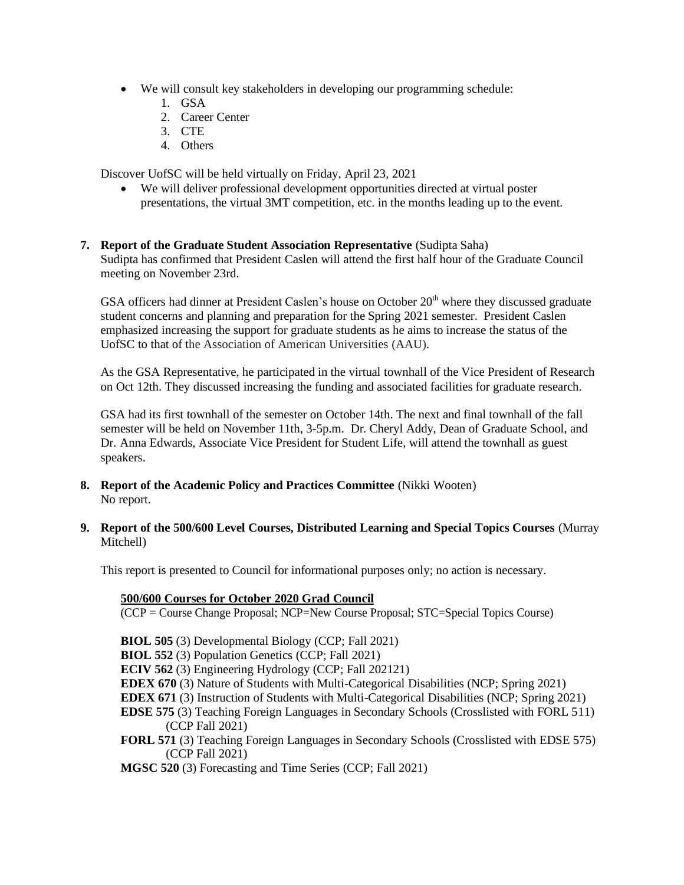- We will consult key stakeholders in developing our programming schedule:
	- 1. GSA
	- 2. Career Center
	- 3. CTE
	- 4. Others

Discover UofSC will be held virtually on Friday, April 23, 2021

- We will deliver professional development opportunities directed at virtual poster presentations, the virtual 3MT competition, etc. in the months leading up to the event.
- **7. Report of the Graduate Student Association Representative** (Sudipta Saha) Sudipta has confirmed that President Caslen will attend the first half hour of the Graduate Council meeting on November 23rd.

GSA officers had dinner at President Caslen's house on October 20<sup>th</sup> where they discussed graduate student concerns and planning and preparation for the Spring 2021 semester. President Caslen emphasized increasing the support for graduate students as he aims to increase the status of the UofSC to that of the Association of American Universities (AAU).

As the GSA Representative, he participated in the virtual townhall of the Vice President of Research on Oct 12th. They discussed increasing the funding and associated facilities for graduate research.

GSA had its first townhall of the semester on October 14th. The next and final townhall of the fall semester will be held on November 11th, 3-5p.m. Dr. Cheryl Addy, Dean of Graduate School, and Dr. Anna Edwards, Associate Vice President for Student Life, will attend the townhall as guest speakers.

- **8. Report of the Academic Policy and Practices Committee** (Nikki Wooten) No report.
- **9. Report of the 500/600 Level Courses, Distributed Learning and Special Topics Courses** (Murray Mitchell)

This report is presented to Council for informational purposes only; no action is necessary.

#### **500/600 Courses for October 2020 Grad Council**

(CCP = Course Change Proposal; NCP=New Course Proposal; STC=Special Topics Course)

**BIOL 505** (3) Developmental Biology (CCP; Fall 2021)

**BIOL 552** (3) Population Genetics (CCP; Fall 2021)

**ECIV 562** (3) Engineering Hydrology (CCP; Fall 202121)

- **EDEX 670** (3) Nature of Students with Multi-Categorical Disabilities (NCP; Spring 2021)
- **EDEX 671** (3) Instruction of Students with Multi-Categorical Disabilities (NCP; Spring 2021)
- **EDSE 575** (3) Teaching Foreign Languages in Secondary Schools (Crosslisted with FORL 511) (CCP Fall 2021)
- **FORL 571** (3) Teaching Foreign Languages in Secondary Schools (Crosslisted with EDSE 575) (CCP Fall 2021)

**MGSC 520** (3) Forecasting and Time Series (CCP; Fall 2021)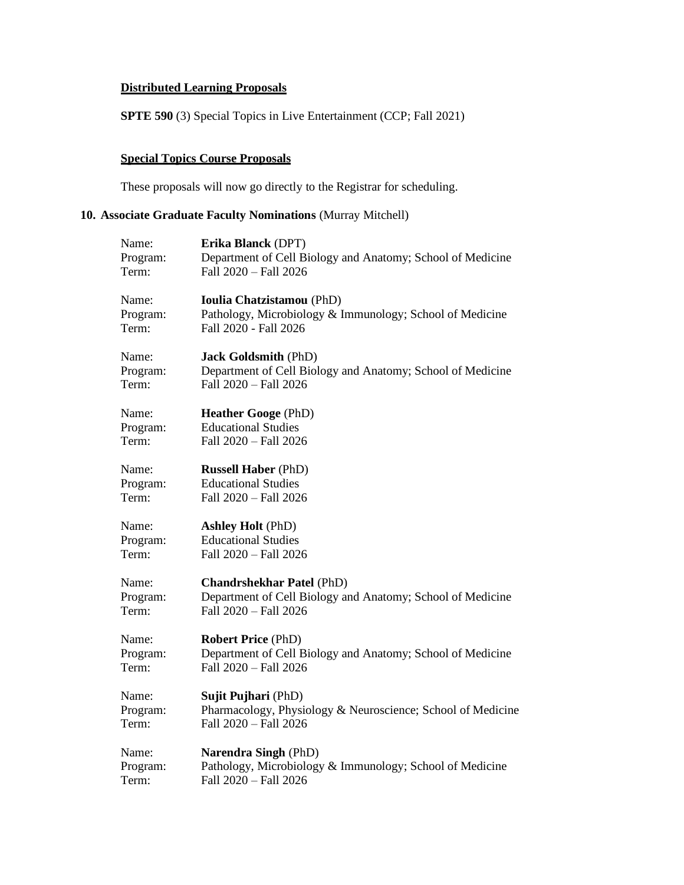# **Distributed Learning Proposals**

**SPTE 590** (3) Special Topics in Live Entertainment (CCP; Fall 2021)

# **Special Topics Course Proposals**

These proposals will now go directly to the Registrar for scheduling.

# **10. Associate Graduate Faculty Nominations** (Murray Mitchell)

| Name:    | Erika Blanck (DPT)                                          |
|----------|-------------------------------------------------------------|
| Program: | Department of Cell Biology and Anatomy; School of Medicine  |
| Term:    | Fall 2020 - Fall 2026                                       |
| Name:    | <b>Ioulia Chatzistamou</b> (PhD)                            |
| Program: | Pathology, Microbiology & Immunology; School of Medicine    |
| Term:    | Fall 2020 - Fall 2026                                       |
| Name:    | <b>Jack Goldsmith (PhD)</b>                                 |
| Program: | Department of Cell Biology and Anatomy; School of Medicine  |
| Term:    | Fall 2020 - Fall 2026                                       |
| Name:    | <b>Heather Googe (PhD)</b>                                  |
| Program: | <b>Educational Studies</b>                                  |
| Term:    | Fall 2020 - Fall 2026                                       |
| Name:    | <b>Russell Haber</b> (PhD)                                  |
| Program: | <b>Educational Studies</b>                                  |
| Term:    | Fall 2020 - Fall 2026                                       |
| Name:    | <b>Ashley Holt (PhD)</b>                                    |
| Program: | <b>Educational Studies</b>                                  |
| Term:    | Fall 2020 - Fall 2026                                       |
| Name:    | <b>Chandrshekhar Patel (PhD)</b>                            |
| Program: | Department of Cell Biology and Anatomy; School of Medicine  |
| Term:    | Fall 2020 - Fall 2026                                       |
| Name:    | <b>Robert Price (PhD)</b>                                   |
| Program: | Department of Cell Biology and Anatomy; School of Medicine  |
| Term:    | Fall 2020 - Fall 2026                                       |
| Name:    | Sujit Pujhari (PhD)                                         |
| Program: | Pharmacology, Physiology & Neuroscience; School of Medicine |
| Term:    | Fall 2020 - Fall 2026                                       |
| Name:    | Narendra Singh (PhD)                                        |
| Program: | Pathology, Microbiology & Immunology; School of Medicine    |
| Term:    | Fall 2020 - Fall 2026                                       |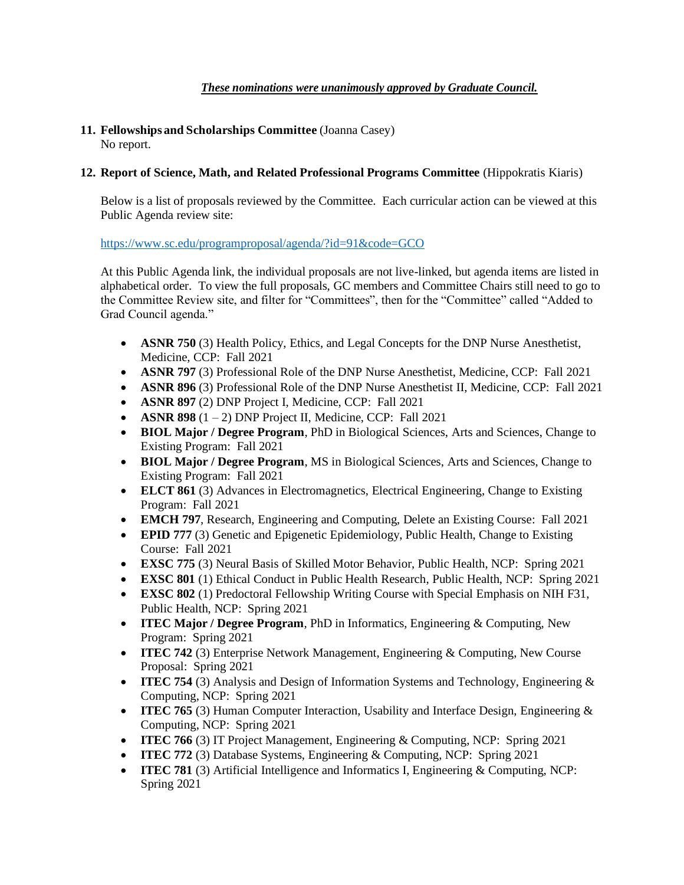## *These nominations were unanimously approved by Graduate Council.*

#### **11. Fellowships and Scholarships Committee** (Joanna Casey) No report.

#### **12. Report of Science, Math, and Related Professional Programs Committee** (Hippokratis Kiaris)

Below is a list of proposals reviewed by the Committee. Each curricular action can be viewed at this Public Agenda review site:

#### <https://www.sc.edu/programproposal/agenda/?id=91&code=GCO>

At this Public Agenda link, the individual proposals are not live-linked, but agenda items are listed in alphabetical order. To view the full proposals, GC members and Committee Chairs still need to go to the Committee Review site, and filter for "Committees", then for the "Committee" called "Added to Grad Council agenda."

- **ASNR 750** (3) Health Policy, Ethics, and Legal Concepts for the DNP Nurse Anesthetist, Medicine, CCP: Fall 2021
- **ASNR 797** (3) Professional Role of the DNP Nurse Anesthetist, Medicine, CCP: Fall 2021
- **ASNR 896** (3) Professional Role of the DNP Nurse Anesthetist II, Medicine, CCP: Fall 2021
- **ASNR 897** (2) DNP Project I, Medicine, CCP: Fall 2021
- **ASNR 898**  $(1 2)$  DNP Project II, Medicine, CCP: Fall 2021
- **BIOL Major / Degree Program**, PhD in Biological Sciences, Arts and Sciences, Change to Existing Program: Fall 2021
- **BIOL Major / Degree Program**, MS in Biological Sciences, Arts and Sciences, Change to Existing Program: Fall 2021
- **ELCT 861** (3) Advances in Electromagnetics, Electrical Engineering, Change to Existing Program: Fall 2021
- **EMCH 797**, Research, Engineering and Computing, Delete an Existing Course: Fall 2021
- **EPID 777** (3) Genetic and Epigenetic Epidemiology, Public Health, Change to Existing Course: Fall 2021
- **EXSC 775** (3) Neural Basis of Skilled Motor Behavior, Public Health, NCP: Spring 2021
- **EXSC 801** (1) Ethical Conduct in Public Health Research, Public Health, NCP: Spring 2021
- **EXSC 802** (1) Predoctoral Fellowship Writing Course with Special Emphasis on NIH F31, Public Health, NCP: Spring 2021
- **ITEC Major / Degree Program**, PhD in Informatics, Engineering & Computing, New Program: Spring 2021
- **ITEC 742** (3) Enterprise Network Management, Engineering & Computing, New Course Proposal: Spring 2021
- **ITEC 754** (3) Analysis and Design of Information Systems and Technology, Engineering & Computing, NCP: Spring 2021
- **ITEC 765** (3) Human Computer Interaction, Usability and Interface Design, Engineering & Computing, NCP: Spring 2021
- **ITEC 766** (3) IT Project Management, Engineering & Computing, NCP: Spring 2021
- **ITEC 772** (3) Database Systems, Engineering & Computing, NCP: Spring 2021
- **ITEC 781** (3) Artificial Intelligence and Informatics I, Engineering & Computing, NCP: Spring 2021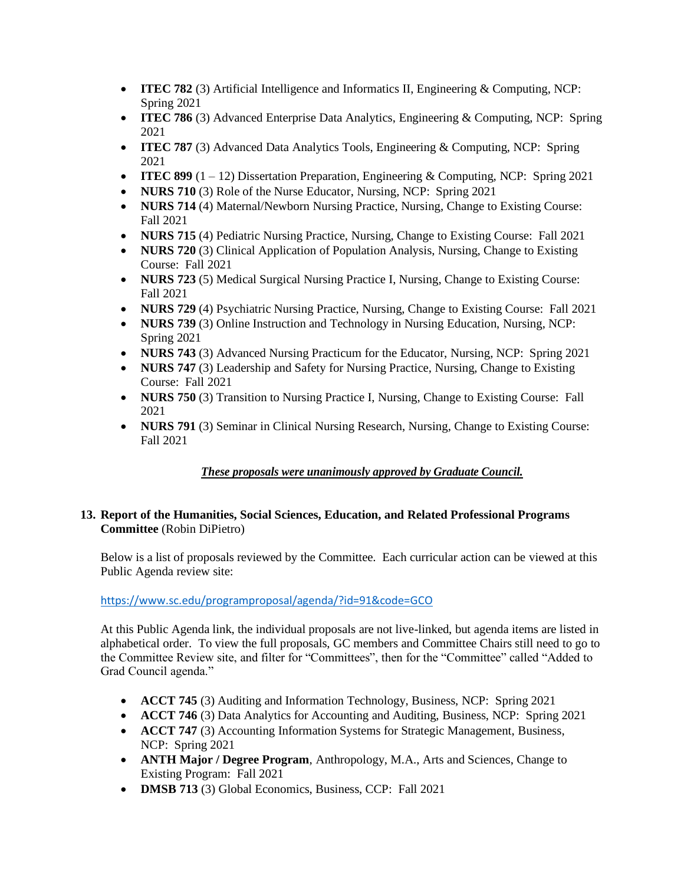- **ITEC 782** (3) Artificial Intelligence and Informatics II, Engineering & Computing, NCP: Spring 2021
- **ITEC 786** (3) Advanced Enterprise Data Analytics, Engineering & Computing, NCP: Spring 2021
- **ITEC 787** (3) Advanced Data Analytics Tools, Engineering & Computing, NCP: Spring 2021
- **ITEC 899** (1 12) Dissertation Preparation, Engineering & Computing, NCP: Spring 2021
- **NURS 710** (3) Role of the Nurse Educator, Nursing, NCP: Spring 2021
- **NURS 714** (4) Maternal/Newborn Nursing Practice, Nursing, Change to Existing Course: Fall 2021
- **NURS 715** (4) Pediatric Nursing Practice, Nursing, Change to Existing Course: Fall 2021
- **NURS 720** (3) Clinical Application of Population Analysis, Nursing, Change to Existing Course: Fall 2021
- **NURS 723** (5) Medical Surgical Nursing Practice I, Nursing, Change to Existing Course: Fall 2021
- **NURS 729** (4) Psychiatric Nursing Practice, Nursing, Change to Existing Course: Fall 2021
- **NURS 739** (3) Online Instruction and Technology in Nursing Education, Nursing, NCP: Spring 2021
- **NURS 743** (3) Advanced Nursing Practicum for the Educator, Nursing, NCP: Spring 2021
- **NURS 747** (3) Leadership and Safety for Nursing Practice, Nursing, Change to Existing Course: Fall 2021
- **NURS 750** (3) Transition to Nursing Practice I, Nursing, Change to Existing Course: Fall 2021
- **NURS 791** (3) Seminar in Clinical Nursing Research, Nursing, Change to Existing Course: Fall 2021

## *These proposals were unanimously approved by Graduate Council.*

#### **13. Report of the Humanities, Social Sciences, Education, and Related Professional Programs Committee** (Robin DiPietro)

Below is a list of proposals reviewed by the Committee. Each curricular action can be viewed at this Public Agenda review site:

#### <https://www.sc.edu/programproposal/agenda/?id=91&code=GCO>

At this Public Agenda link, the individual proposals are not live-linked, but agenda items are listed in alphabetical order. To view the full proposals, GC members and Committee Chairs still need to go to the Committee Review site, and filter for "Committees", then for the "Committee" called "Added to Grad Council agenda."

- **ACCT 745** (3) Auditing and Information Technology, Business, NCP: Spring 2021
- **ACCT 746** (3) Data Analytics for Accounting and Auditing, Business, NCP: Spring 2021
- **ACCT 747** (3) Accounting Information Systems for Strategic Management, Business, NCP: Spring 2021
- **ANTH Major / Degree Program**, Anthropology, M.A., Arts and Sciences, Change to Existing Program: Fall 2021
- **DMSB 713** (3) Global Economics, Business, CCP: Fall 2021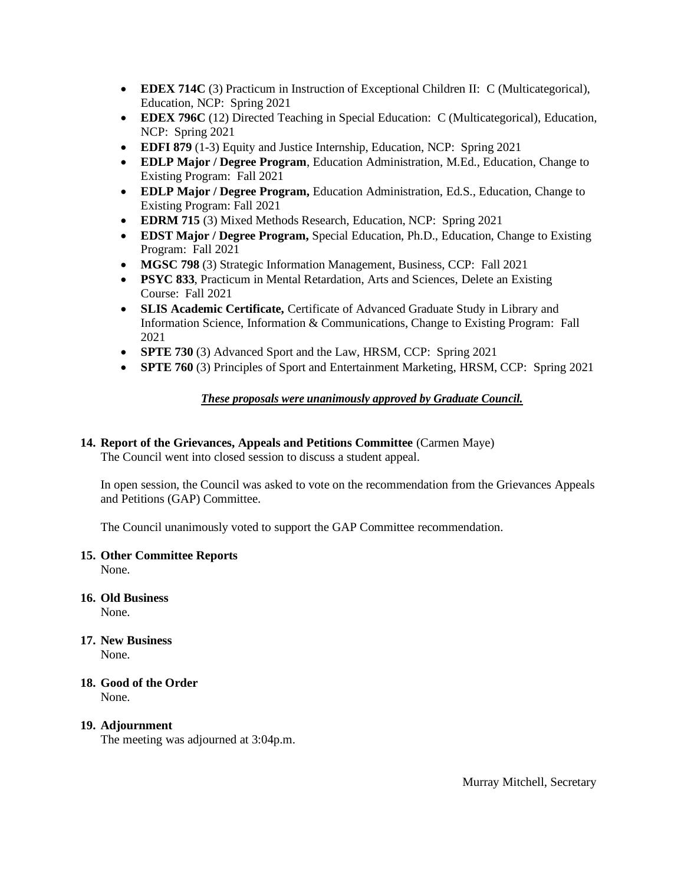- **EDEX 714C** (3) Practicum in Instruction of Exceptional Children II: C (Multicategorical), Education, NCP: Spring 2021
- **EDEX 796C** (12) Directed Teaching in Special Education: C (Multicategorical), Education, NCP: Spring 2021
- **EDFI 879** (1-3) Equity and Justice Internship, Education, NCP: Spring 2021
- **EDLP Major / Degree Program**, Education Administration, M.Ed., Education, Change to Existing Program: Fall 2021
- **EDLP Major / Degree Program,** Education Administration, Ed.S., Education, Change to Existing Program: Fall 2021
- **EDRM 715** (3) Mixed Methods Research, Education, NCP: Spring 2021
- **EDST Major / Degree Program,** Special Education, Ph.D., Education, Change to Existing Program: Fall 2021
- **MGSC 798** (3) Strategic Information Management, Business, CCP: Fall 2021
- **PSYC 833**, Practicum in Mental Retardation, Arts and Sciences, Delete an Existing Course: Fall 2021
- **SLIS Academic Certificate,** Certificate of Advanced Graduate Study in Library and Information Science, Information & Communications, Change to Existing Program: Fall 2021
- **SPTE 730** (3) Advanced Sport and the Law, HRSM, CCP: Spring 2021
- **SPTE 760** (3) Principles of Sport and Entertainment Marketing, HRSM, CCP: Spring 2021

#### *These proposals were unanimously approved by Graduate Council.*

## **14. Report of the Grievances, Appeals and Petitions Committee** (Carmen Maye)

The Council went into closed session to discuss a student appeal.

In open session, the Council was asked to vote on the recommendation from the Grievances Appeals and Petitions (GAP) Committee.

The Council unanimously voted to support the GAP Committee recommendation.

#### **15. Other Committee Reports**

None.

**16. Old Business**

None.

- **17. New Business** None.
- **18. Good of the Order** None.

# **19. Adjournment**

The meeting was adjourned at 3:04p.m.